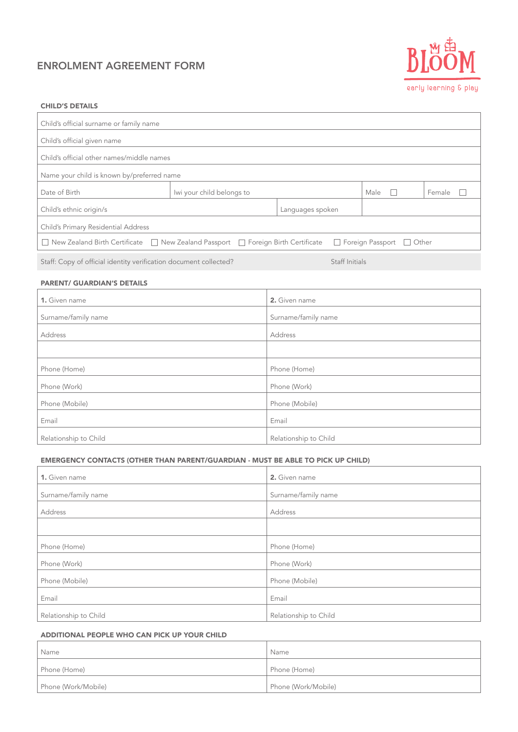# ENROLMENT AGREEMENT FORM



### CHILD'S DETAILS

| Child's official surname or family name                                                                                         |                           |  |      |        |
|---------------------------------------------------------------------------------------------------------------------------------|---------------------------|--|------|--------|
| Child's official given name                                                                                                     |                           |  |      |        |
| Child's official other names/middle names                                                                                       |                           |  |      |        |
| Name your child is known by/preferred name                                                                                      |                           |  |      |        |
| Date of Birth                                                                                                                   | Iwi your child belongs to |  | Male | Female |
| Child's ethnic origin/s                                                                                                         |                           |  |      |        |
| Child's Primary Residential Address                                                                                             |                           |  |      |        |
| New Zealand Birth Certificate $\Box$ New Zealand Passport $\Box$ Foreign Birth Certificate $\Box$ Foreign Passport<br>    Other |                           |  |      |        |
|                                                                                                                                 |                           |  |      |        |

Staff: Copy of official identity verification document collected? Staff Initials Staff Initials

# PARENT/ GUARDIAN'S DETAILS

| 1. Given name         | 2. Given name         |
|-----------------------|-----------------------|
| Surname/family name   | Surname/family name   |
| Address               | Address               |
|                       |                       |
| Phone (Home)          | Phone (Home)          |
| Phone (Work)          | Phone (Work)          |
| Phone (Mobile)        | Phone (Mobile)        |
| Email                 | Email                 |
| Relationship to Child | Relationship to Child |

# EMERGENCY CONTACTS (OTHER THAN PARENT/GUARDIAN - MUST BE ABLE TO PICK UP CHILD)

| 1. Given name         | 2. Given name         |
|-----------------------|-----------------------|
| Surname/family name   | Surname/family name   |
| Address               | Address               |
|                       |                       |
| Phone (Home)          | Phone (Home)          |
| Phone (Work)          | Phone (Work)          |
| Phone (Mobile)        | Phone (Mobile)        |
| Email                 | Email                 |
| Relationship to Child | Relationship to Child |

# ADDITIONAL PEOPLE WHO CAN PICK UP YOUR CHILD

| Name                | Name                |
|---------------------|---------------------|
| Phone (Home)        | Phone (Home)        |
| Phone (Work/Mobile) | Phone (Work/Mobile) |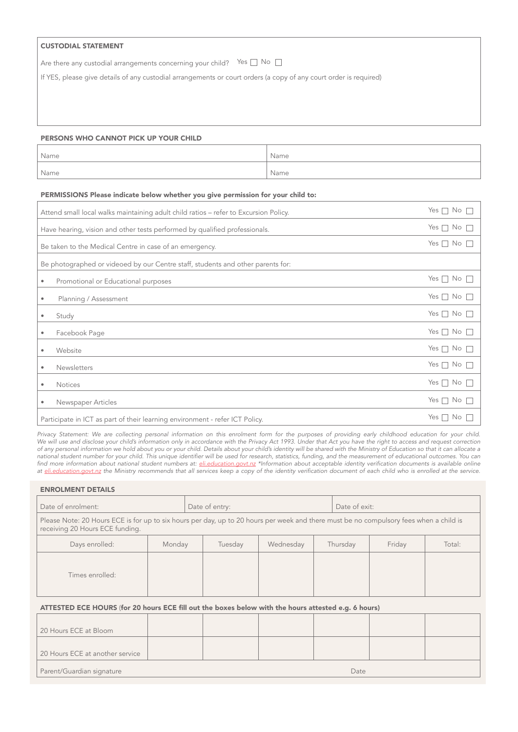# CUSTODIAL STATEMENT

Are there any custodial arrangements concerning your child? Yes  $\Box$  No

If YES, please give details of any custodial arrangements or court orders (a copy of any court order is required)

### PERSONS WHO CANNOT PICK UP YOUR CHILD

| Name | Name |
|------|------|
| Name | Name |

# PERMISSIONS Please indicate below whether you give permission for your child to:

| Attend small local walks maintaining adult child ratios - refer to Excursion Policy. |                      |
|--------------------------------------------------------------------------------------|----------------------|
| Have hearing, vision and other tests performed by qualified professionals.           |                      |
| Be taken to the Medical Centre in case of an emergency.                              | Yes $\Box$ No $\Box$ |
| Be photographed or videoed by our Centre staff, students and other parents for:      |                      |
| Promotional or Educational purposes<br>$\bullet$                                     | Yes $\Box$ No $\Box$ |
| Planning / Assessment<br>۰                                                           | Yes $\Box$ No $\Box$ |
| Study<br>۰                                                                           | Yes $\Box$ No $\Box$ |
| Facebook Page<br>۰                                                                   | Yes $\Box$ No $\Box$ |
| Website<br>۰                                                                         | Yes $\Box$ No $\Box$ |
| <b>Newsletters</b><br>۰                                                              | Yes $\Box$ No $\Box$ |
| <b>Notices</b><br>۰                                                                  | Yes $\Box$ No $\Box$ |
| Newspaper Articles                                                                   | Yes $\Box$ No $\Box$ |
| Participate in ICT as part of their learning environment - refer ICT Policy.         | Yes $\Box$ No        |

*Privacy Statement: We are collecting personal information on this enrolment form for the purposes of providing early childhood education for your child. We will use and disclose your child's information only in accordance with the Privacy Act 1993. Under that Act you have the right to access and request correction of any personal information we hold about you or your child. Details about your child's identity will be shared with the Ministry of Education so that it can allocate a*  national student number for your child. This unique identifier will be used for research, statistics, funding, and the measurement of educational outcomes. You can find more information about national student numbers at: *eli.education.govt.nz* \*Information about acceptable identity verification documents is available online at eli.education.govt.nz the Ministry recommends that all services keep a copy of the identity verification document of each child who is enrolled at the service.

### ENROLMENT DETAILS

| Date of enrolment:                                                                                                                                                        |        | Date of entry: |           |          | Date of exit: |        |  |
|---------------------------------------------------------------------------------------------------------------------------------------------------------------------------|--------|----------------|-----------|----------|---------------|--------|--|
| Please Note: 20 Hours ECE is for up to six hours per day, up to 20 hours per week and there must be no compulsory fees when a child is<br>receiving 20 Hours ECE funding. |        |                |           |          |               |        |  |
| Days enrolled:                                                                                                                                                            | Monday | Tuesday        | Wednesday | Thursday | Friday        | Total: |  |
| Times enrolled:                                                                                                                                                           |        |                |           |          |               |        |  |

# ATTESTED ECE HOURS (for 20 hours ECE fill out the boxes below with the hours attested e.g. 6 hours)

| 20 Hours ECE at Bloom           |  |      |  |
|---------------------------------|--|------|--|
|                                 |  |      |  |
| 20 Hours ECE at another service |  |      |  |
| Parent/Guardian signature       |  | Date |  |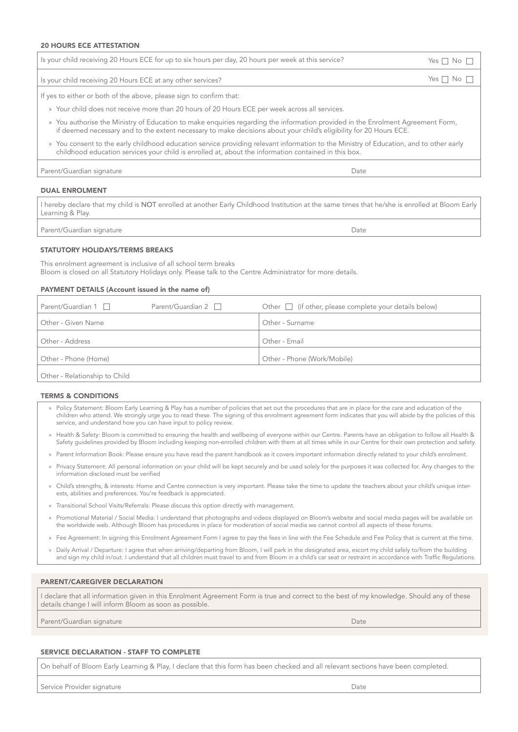#### 20 HOURS ECE ATTESTATION

| Is your child receiving 20 Hours ECE for up to six hours per day, 20 hours per week at this service?                                                                                                                                                  | Yes $\Box$ No $\Box$ |  |
|-------------------------------------------------------------------------------------------------------------------------------------------------------------------------------------------------------------------------------------------------------|----------------------|--|
| Is your child receiving 20 Hours ECE at any other services?                                                                                                                                                                                           | Yes $\Box$ No $\Box$ |  |
| If yes to either or both of the above, please sign to confirm that:                                                                                                                                                                                   |                      |  |
| » Your child does not receive more than 20 hours of 20 Hours ECE per week across all services.                                                                                                                                                        |                      |  |
| » You authorise the Ministry of Education to make enquiries regarding the information provided in the Enrolment Agreement Form,<br>if deemed necessary and to the extent necessary to make decisions about your child's eligibility for 20 Hours ECE. |                      |  |

» You consent to the early childhood education service providing relevant information to the Ministry of Education, and to other early childhood education services your child is enrolled at, about the information contained in this box.

Parent/Guardian signature **Date** Date of Contract and Date Date of Contract and Date Date of Date Date of Date of Date of Date of Date of Date of Date of Date of Date of Date of Date of Date of Date of Date of Date of Date

#### DUAL ENROLMENT

I hereby declare that my child is NOT enrolled at another Early Childhood Institution at the same times that he/she is enrolled at Bloom Early Learning & Play.

Parent/Guardian signature **Date** 

# STATUTORY HOLIDAYS/TERMS BREAKS

This enrolment agreement is inclusive of all school term breaks Bloom is closed on all Statutory Holidays only. Please talk to the Centre Administrator for more details.

#### PAYMENT DETAILS (Account issued in the name of)

| Parent/Guardian 1             | Parent/Guardian $2 \Box$ | Other $\Box$ (if other, please complete your details below) |
|-------------------------------|--------------------------|-------------------------------------------------------------|
| Other - Given Name            |                          | Other - Surname                                             |
| Other - Address               |                          | Other - Email                                               |
| Other - Phone (Home)          |                          | Other - Phone (Work/Mobile)                                 |
| Other - Relationship to Child |                          |                                                             |

#### TERMS & CONDITIONS

- » Policy Statement: Bloom Early Learning & Play has a number of policies that set out the procedures that are in place for the care and education of the children who attend. We strongly urge you to read these. The signing of this enrolment agreement form indicates that you will abide by the policies of this service, and understand how you can have input to policy review.
- » Health & Safety: Bloom is committed to ensuring the health and wellbeing of everyone within our Centre. Parents have an obligation to follow all Health & Safety guidelines provided by Bloom including keeping non-enrolled children with them at all times while in our Centre for their own protection and safety.
- » Parent Information Book: Please ensure you have read the parent handbook as it covers important information directly related to your child's enrolment.
- » Privacy Statement: All personal information on your child will be kept securely and be used solely for the purposes it was collected for. Any changes to the information disclosed must be verified
- » Child's strengths, & interests: Home and Centre connection is very important. Please take the time to update the teachers about your child's unique interests, abilities and preferences. You're feedback is appreciated.
- » Transitional School Visits/Referrals: Please discuss this option directly with management.
- » Promotional Material / Social Media: I understand that photographs and videos displayed on Bloom's website and social media pages will be available on the worldwide web. Although Bloom has procedures in place for moderation of social media we cannot control all aspects of these forums.
- » Fee Agreement: In signing this Enrolment Agreement Form I agree to pay the fees in line with the Fee Schedule and Fee Policy that is current at the time.
- » Daily Arrival / Departure: I agree that when arriving/departing from Bloom, I will park in the designated area, escort my child safely to/from the building and sign my child in/out. I understand that all children must travel to and from Bloom in a child's car seat or restraint in accordance with Traffic Regulations.

# PARENT/CAREGIVER DECLARATION

I declare that all information given in this Enrolment Agreement Form is true and correct to the best of my knowledge. Should any of these details change I will inform Bloom as soon as possible.

Parent/Guardian signature and the control of the control of the control of the control of the control of the control of the control of the control of the control of the control of the control of the control of the control

#### SERVICE DECLARATION - STAFF TO COMPLETE

On behalf of Bloom Early Learning & Play, I declare that this form has been checked and all relevant sections have been completed.

Service Provider signature **Date** Date of **Date of American Service Provider** Service Provider signature **Date**